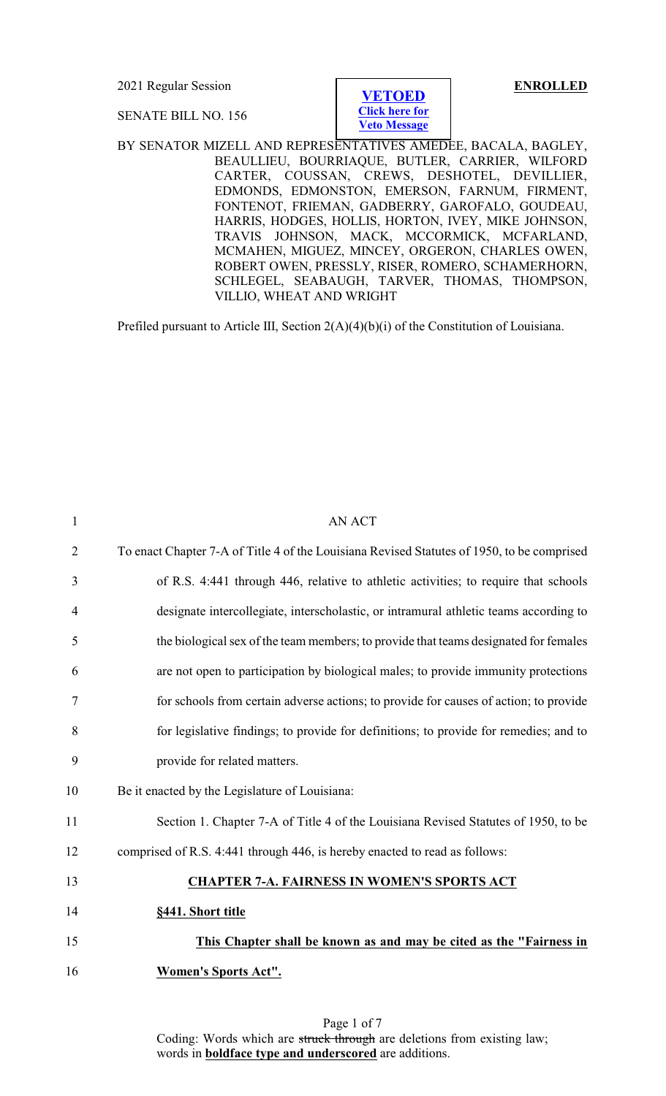**[VETOED](#page-6-0) [Click here for](#page-6-0) [Veto Message](#page-6-0)** SENATE BILL NO. 156 BY SENATOR MIZELL AND REPRESENTATIVES AMEDEE, BACALA, BAGLEY, BEAULLIEU, BOURRIAQUE, BUTLER, CARRIER, WILFORD CARTER, COUSSAN, CREWS, DESHOTEL, DEVILLIER, EDMONDS, EDMONSTON, EMERSON, FARNUM, FIRMENT, FONTENOT, FRIEMAN, GADBERRY, GAROFALO, GOUDEAU, HARRIS, HODGES, HOLLIS, HORTON, IVEY, MIKE JOHNSON, TRAVIS JOHNSON, MACK, MCCORMICK, MCFARLAND, MCMAHEN, MIGUEZ, MINCEY, ORGERON, CHARLES OWEN, ROBERT OWEN, PRESSLY, RISER, ROMERO, SCHAMERHORN, SCHLEGEL, SEABAUGH, TARVER, THOMAS, THOMPSON, VILLIO, WHEAT AND WRIGHT

2021 Regular Session **ENROLLED**

Prefiled pursuant to Article III, Section 2(A)(4)(b)(i) of the Constitution of Louisiana.

| $\mathbf{1}$   | AN ACT                                                                                     |
|----------------|--------------------------------------------------------------------------------------------|
| $\overline{2}$ | To enact Chapter 7-A of Title 4 of the Louisiana Revised Statutes of 1950, to be comprised |
| 3              | of R.S. 4:441 through 446, relative to athletic activities; to require that schools        |
| $\overline{4}$ | designate intercollegiate, interscholastic, or intramural athletic teams according to      |
| 5              | the biological sex of the team members; to provide that teams designated for females       |
| 6              | are not open to participation by biological males; to provide immunity protections         |
| 7              | for schools from certain adverse actions; to provide for causes of action; to provide      |
| 8              | for legislative findings; to provide for definitions; to provide for remedies; and to      |
| 9              | provide for related matters.                                                               |
| 10             | Be it enacted by the Legislature of Louisiana:                                             |
| 11             | Section 1. Chapter 7-A of Title 4 of the Louisiana Revised Statutes of 1950, to be         |
| 12             | comprised of R.S. 4:441 through 446, is hereby enacted to read as follows:                 |
| 13             | <b>CHAPTER 7-A. FAIRNESS IN WOMEN'S SPORTS ACT</b>                                         |
| 14             | §441. Short title                                                                          |
| 15             | This Chapter shall be known as and may be cited as the "Fairness in                        |
| 16             | <b>Women's Sports Act".</b>                                                                |
|                |                                                                                            |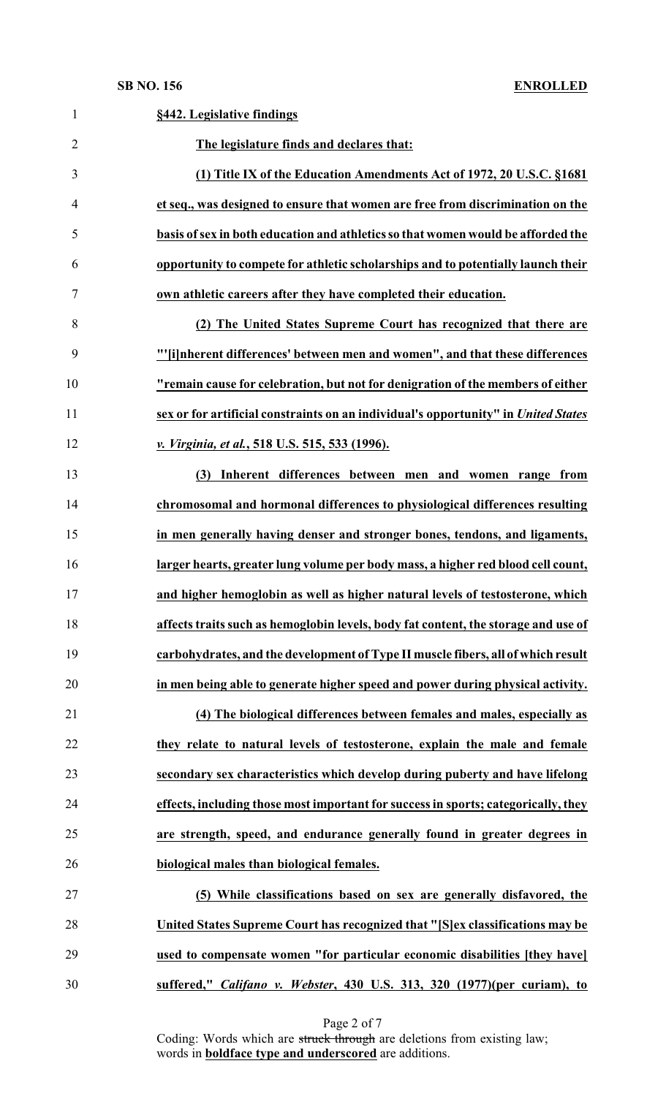| $\mathbf{1}$   | §442. Legislative findings                                                         |
|----------------|------------------------------------------------------------------------------------|
| $\overline{2}$ | The legislature finds and declares that:                                           |
| 3              | (1) Title IX of the Education Amendments Act of 1972, 20 U.S.C. §1681              |
| 4              | et seq., was designed to ensure that women are free from discrimination on the     |
| 5              | basis of sex in both education and athletics so that women would be afforded the   |
| 6              | opportunity to compete for athletic scholarships and to potentially launch their   |
| 7              | own athletic careers after they have completed their education.                    |
| 8              | (2) The United States Supreme Court has recognized that there are                  |
| 9              | "'[i]nherent differences' between men and women", and that these differences       |
| 10             | "remain cause for celebration, but not for denigration of the members of either    |
| 11             | sex or for artificial constraints on an individual's opportunity" in United States |
| 12             | v. Virginia, et al., 518 U.S. 515, 533 (1996).                                     |
| 13             | Inherent differences between men and women range from<br>(3)                       |
| 14             | chromosomal and hormonal differences to physiological differences resulting        |
| 15             | in men generally having denser and stronger bones, tendons, and ligaments,         |
| 16             | larger hearts, greater lung volume per body mass, a higher red blood cell count,   |
| 17             | and higher hemoglobin as well as higher natural levels of testosterone, which      |
| 18             | affects traits such as hemoglobin levels, body fat content, the storage and use of |
| 19             | carbohydrates, and the development of Type II muscle fibers, all of which result   |
| 20             | in men being able to generate higher speed and power during physical activity.     |
| 21             | (4) The biological differences between females and males, especially as            |
| 22             | they relate to natural levels of testosterone, explain the male and female         |
| 23             | secondary sex characteristics which develop during puberty and have lifelong       |
| 24             | effects, including those most important for success in sports; categorically, they |
| 25             | are strength, speed, and endurance generally found in greater degrees in           |
| 26             | biological males than biological females.                                          |
| 27             | (5) While classifications based on sex are generally disfavored, the               |
| 28             | United States Supreme Court has recognized that "[S]ex classifications may be      |
| 29             | used to compensate women "for particular economic disabilities [they have]         |
| 30             | suffered," Califano v. Webster, 430 U.S. 313, 320 (1977)(per curiam), to           |

Page 2 of 7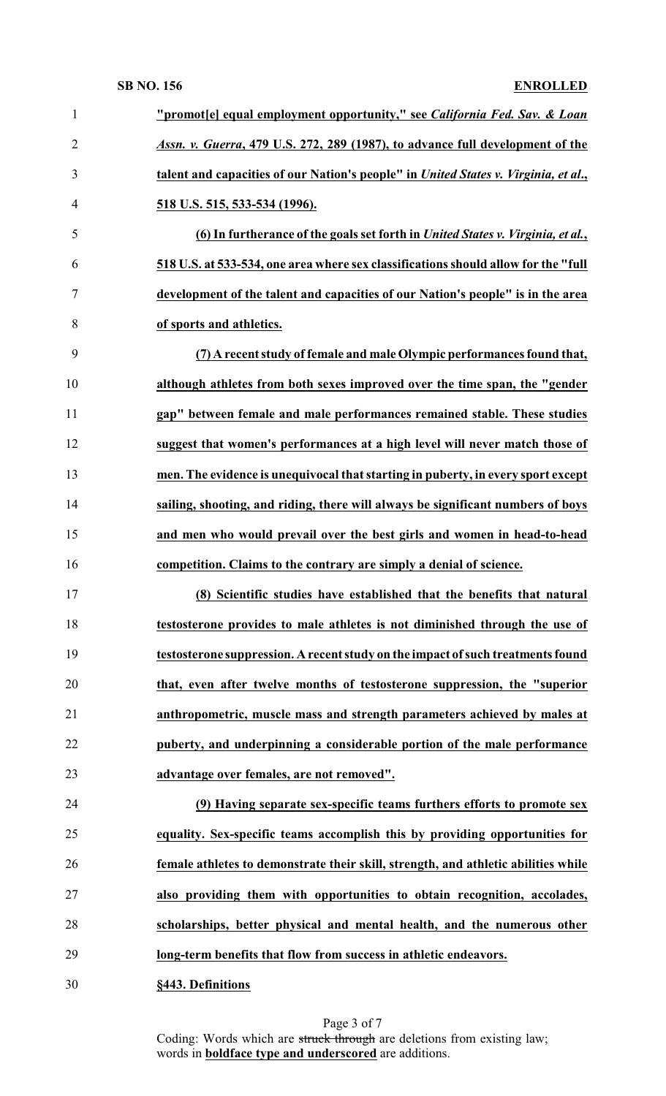### **SB NO. 156 ENROLLED**

| $\mathbf{1}$   | "promot[e] equal employment opportunity," see California Fed. Sav. & Loan           |
|----------------|-------------------------------------------------------------------------------------|
| $\overline{2}$ | Assn. v. Guerra, 479 U.S. 272, 289 (1987), to advance full development of the       |
| 3              | talent and capacities of our Nation's people" in United States v. Virginia, et al., |
| $\overline{4}$ | 518 U.S. 515, 533-534 (1996).                                                       |
| 5              | (6) In furtherance of the goals set forth in United States v. Virginia, et al.,     |
| 6              | 518 U.S. at 533-534, one area where sex classifications should allow for the "full  |
| 7              | development of the talent and capacities of our Nation's people" is in the area     |
| 8              | of sports and athletics.                                                            |
| 9              | (7) A recent study of female and male Olympic performances found that,              |
| 10             | although athletes from both sexes improved over the time span, the "gender          |
| 11             | gap" between female and male performances remained stable. These studies            |
| 12             | suggest that women's performances at a high level will never match those of         |
| 13             | men. The evidence is unequivocal that starting in puberty, in every sport except    |
| 14             | sailing, shooting, and riding, there will always be significant numbers of boys     |
| 15             | and men who would prevail over the best girls and women in head-to-head             |
| 16             | competition. Claims to the contrary are simply a denial of science.                 |
| 17             | (8) Scientific studies have established that the benefits that natural              |
| 18             | testosterone provides to male athletes is not diminished through the use of         |
| 19             | testosterone suppression. A recent study on the impact of such treatments found     |
| 20             | that, even after twelve months of testosterone suppression, the "superior           |
| 21             | anthropometric, muscle mass and strength parameters achieved by males at            |
| 22             | puberty, and underpinning a considerable portion of the male performance            |
| 23             | advantage over females, are not removed".                                           |
| 24             | (9) Having separate sex-specific teams furthers efforts to promote sex              |
|                | equality. Sex-specific teams accomplish this by providing opportunities for         |
| 25             | female athletes to demonstrate their skill, strength, and athletic abilities while  |
| 26             |                                                                                     |
| 27             | also providing them with opportunities to obtain recognition, accolades,            |
| 28             | scholarships, better physical and mental health, and the numerous other             |
| 29             | long-term benefits that flow from success in athletic endeavors.                    |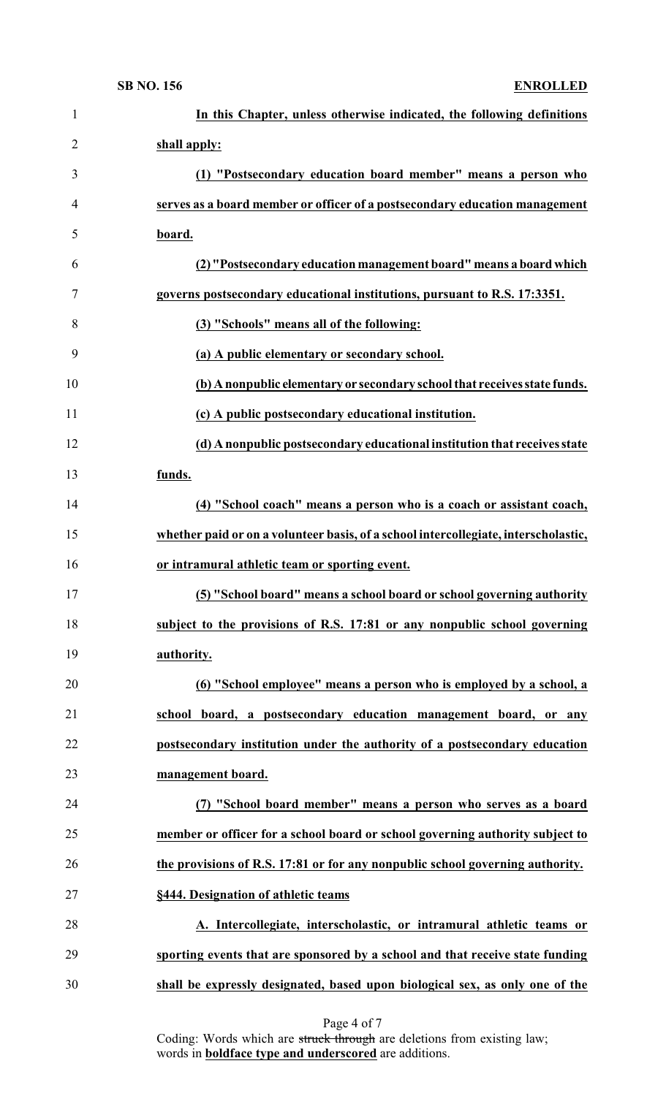| $\mathbf{1}$   | In this Chapter, unless otherwise indicated, the following definitions              |
|----------------|-------------------------------------------------------------------------------------|
| $\overline{2}$ | shall apply:                                                                        |
| 3              | (1) "Postsecondary education board member" means a person who                       |
| $\overline{4}$ | serves as a board member or officer of a postsecondary education management         |
| 5              | board.                                                                              |
| 6              | (2) "Postsecondary education management board" means a board which                  |
| 7              | governs postsecondary educational institutions, pursuant to R.S. 17:3351.           |
| 8              | (3) "Schools" means all of the following:                                           |
| 9              | (a) A public elementary or secondary school.                                        |
| 10             | (b) A nonpublic elementary or secondary school that receives state funds.           |
| 11             | (c) A public postsecondary educational institution.                                 |
| 12             | (d) A nonpublic postsecondary educational institution that receives state           |
| 13             | funds.                                                                              |
| 14             | (4) "School coach" means a person who is a coach or assistant coach,                |
| 15             | whether paid or on a volunteer basis, of a school intercollegiate, interscholastic, |
| 16             | or intramural athletic team or sporting event.                                      |
| 17             | (5) "School board" means a school board or school governing authority               |
| 18             | subject to the provisions of R.S. 17:81 or any nonpublic school governing           |
| 19             | authority.                                                                          |
| 20             | (6) "School employee" means a person who is employed by a school, a                 |
| 21             | school board, a postsecondary education management board, or any                    |
| 22             | postsecondary institution under the authority of a postsecondary education          |
| 23             | management board.                                                                   |
| 24             | (7) "School board member" means a person who serves as a board                      |
| 25             | member or officer for a school board or school governing authority subject to       |
| 26             | the provisions of R.S. 17:81 or for any nonpublic school governing authority.       |
| 27             | §444. Designation of athletic teams                                                 |
| 28             | A. Intercollegiate, interscholastic, or intramural athletic teams or                |
| 29             | sporting events that are sponsored by a school and that receive state funding       |
|                |                                                                                     |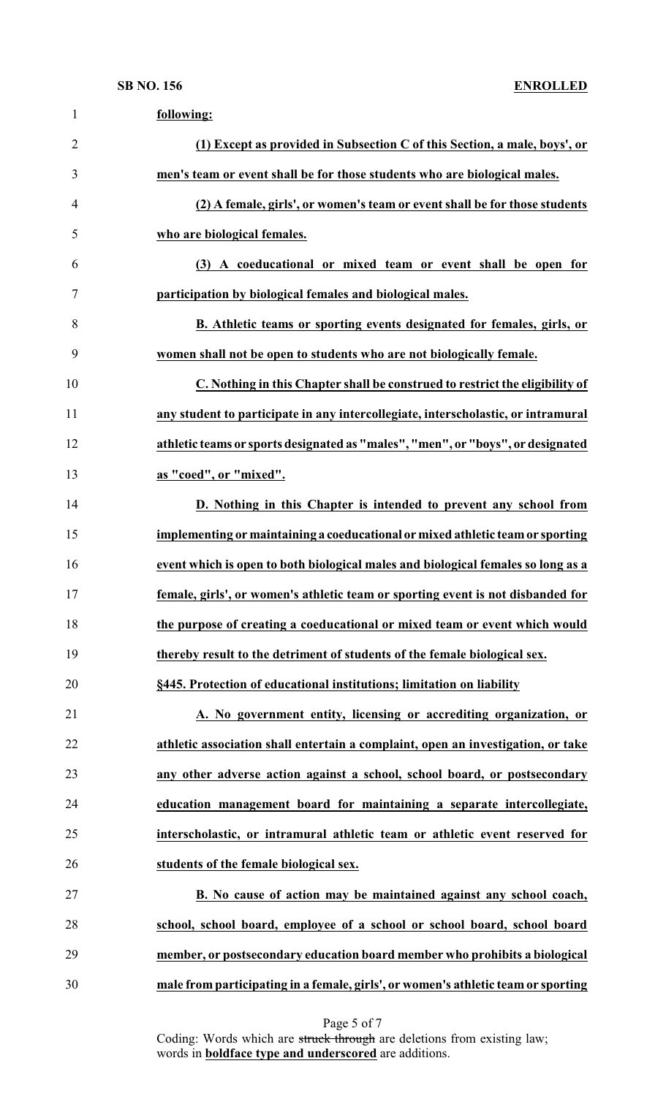| $\mathbf{1}$   | following:                                                                        |
|----------------|-----------------------------------------------------------------------------------|
| $\overline{2}$ | (1) Except as provided in Subsection C of this Section, a male, boys', or         |
| 3              | men's team or event shall be for those students who are biological males.         |
| $\overline{4}$ | (2) A female, girls', or women's team or event shall be for those students        |
| 5              | who are biological females.                                                       |
| 6              | (3) A coeducational or mixed team or event shall be open for                      |
| 7              | participation by biological females and biological males.                         |
| 8              | B. Athletic teams or sporting events designated for females, girls, or            |
| 9              | women shall not be open to students who are not biologically female.              |
| 10             | C. Nothing in this Chapter shall be construed to restrict the eligibility of      |
| 11             | any student to participate in any intercollegiate, interscholastic, or intramural |
| 12             | athletic teams or sports designated as "males", "men", or "boys", or designated   |
| 13             | as "coed", or "mixed".                                                            |
| 14             | D. Nothing in this Chapter is intended to prevent any school from                 |
| 15             | implementing or maintaining a coeducational or mixed athletic team or sporting    |
| 16             | event which is open to both biological males and biological females so long as a  |
| 17             | female, girls', or women's athletic team or sporting event is not disbanded for   |
| 18             | the purpose of creating a coeducational or mixed team or event which would        |
| 19             | thereby result to the detriment of students of the female biological sex.         |
| 20             | §445. Protection of educational institutions; limitation on liability             |
| 21             | A. No government entity, licensing or accrediting organization, or                |
| 22             | athletic association shall entertain a complaint, open an investigation, or take  |
| 23             | any other adverse action against a school, school board, or postsecondary         |
| 24             | education management board for maintaining a separate intercollegiate,            |
| 25             | interscholastic, or intramural athletic team or athletic event reserved for       |
| 26             | students of the female biological sex.                                            |
| 27             | B. No cause of action may be maintained against any school coach,                 |
| 28             | school, school board, employee of a school or school board, school board          |
| 29             | member, or postsecondary education board member who prohibits a biological        |
| 30             | male from participating in a female, girls', or women's athletic team or sporting |

Page 5 of 7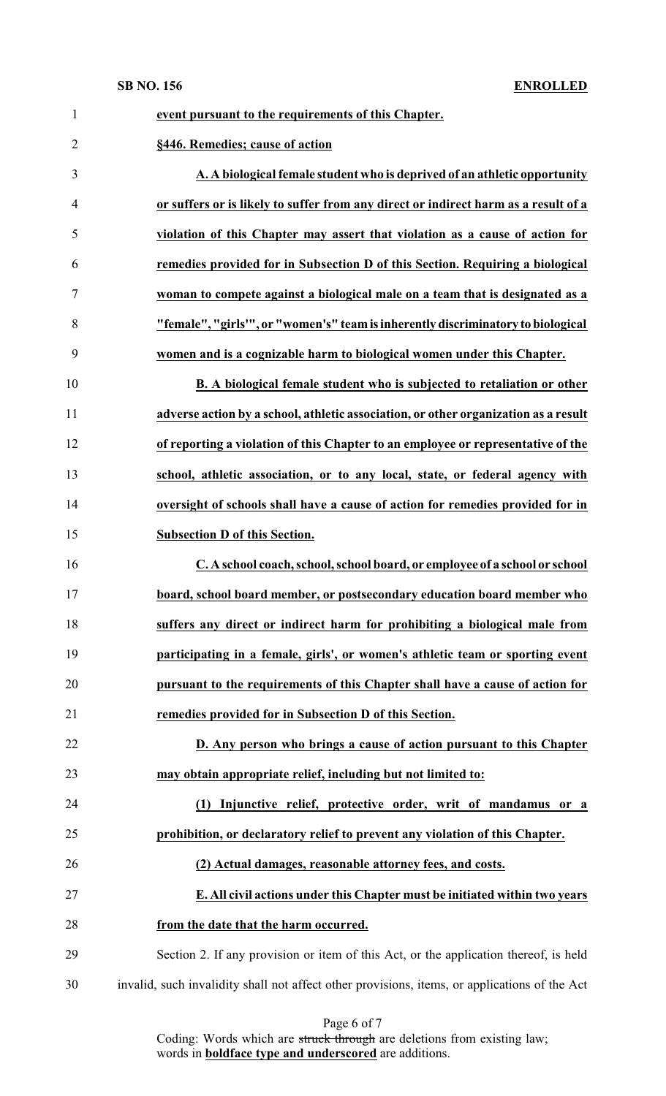**SB NO. 156 ENROLLED**

| $\mathbf{1}$   | event pursuant to the requirements of this Chapter.                                           |
|----------------|-----------------------------------------------------------------------------------------------|
| $\overline{2}$ | §446. Remedies; cause of action                                                               |
| 3              | A. A biological female student who is deprived of an athletic opportunity                     |
| 4              | or suffers or is likely to suffer from any direct or indirect harm as a result of a           |
| 5              | violation of this Chapter may assert that violation as a cause of action for                  |
| 6              | remedies provided for in Subsection D of this Section. Requiring a biological                 |
| 7              | woman to compete against a biological male on a team that is designated as a                  |
| 8              | "female", "girls"", or "women's" team is inherently discriminatory to biological              |
| 9              | women and is a cognizable harm to biological women under this Chapter.                        |
| 10             | B. A biological female student who is subjected to retaliation or other                       |
| 11             | adverse action by a school, athletic association, or other organization as a result           |
| 12             | of reporting a violation of this Chapter to an employee or representative of the              |
| 13             | school, athletic association, or to any local, state, or federal agency with                  |
| 14             | oversight of schools shall have a cause of action for remedies provided for in                |
| 15             | <b>Subsection D of this Section.</b>                                                          |
| 16             | C. A school coach, school, school board, or employee of a school or school                    |
| 17             | board, school board member, or postsecondary education board member who                       |
| 18             | suffers any direct or indirect harm for prohibiting a biological male from                    |
| 19             | participating in a female, girls', or women's athletic team or sporting event                 |
| 20             | pursuant to the requirements of this Chapter shall have a cause of action for                 |
| 21             | remedies provided for in Subsection D of this Section.                                        |
| 22             | D. Any person who brings a cause of action pursuant to this Chapter                           |
| 23             | may obtain appropriate relief, including but not limited to:                                  |
| 24             | Injunctive relief, protective order, writ of mandamus or a<br>(1)                             |
| 25             | prohibition, or declaratory relief to prevent any violation of this Chapter.                  |
| 26             | (2) Actual damages, reasonable attorney fees, and costs.                                      |
| 27             | E. All civil actions under this Chapter must be initiated within two years                    |
| 28             | from the date that the harm occurred.                                                         |
| 29             | Section 2. If any provision or item of this Act, or the application thereof, is held          |
| 30             | invalid, such invalidity shall not affect other provisions, items, or applications of the Act |

| Page 6 of 7 |  |  |  |
|-------------|--|--|--|
|-------------|--|--|--|